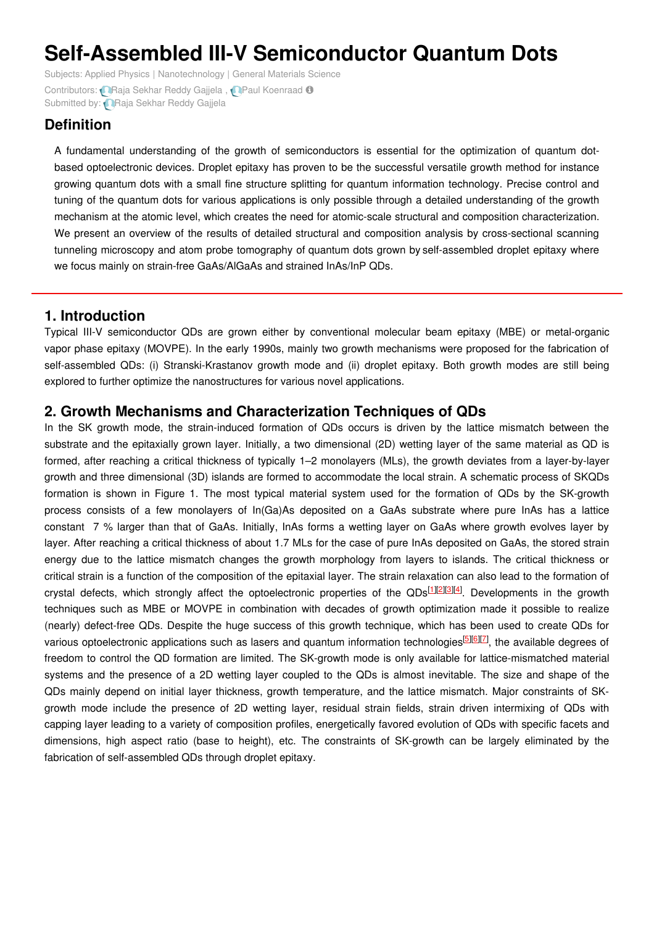# **Self-Assembled III-V Semiconductor Quantum Dots**

Subjects: Applied [Physics](https://encyclopedia.pub/item/subject/22) | [Nanotechnology](https://encyclopedia.pub/item/subject/37) | General [Materials](https://encyclopedia.pub/item/subject/35) Science Contributors: **Raja [Sekhar](https://sciprofiles.com/profile/1279016) Reddy Gajjela** , **Raja [Koenraad](https://sciprofiles.com/profile/522249) O** Submitted by: **Raja [Sekhar](https://sciprofiles.com/profile/1279016) Reddy Gajjela** 

# **Definition**

A fundamental understanding of the growth of semiconductors is essential for the optimization of quantum dotbased optoelectronic devices. Droplet epitaxy has proven to be the successful versatile growth method for instance growing quantum dots with a small fine structure splitting for quantum information technology. Precise control and tuning of the quantum dots for various applications is only possible through a detailed understanding of the growth mechanism at the atomic level, which creates the need for atomic-scale structural and composition characterization. We present an overview of the results of detailed structural and composition analysis by cross-sectional scanning tunneling microscopy and atom probe tomography of quantum dots grown by self-assembled droplet epitaxy where we focus mainly on strain-free GaAs/AlGaAs and strained InAs/InP QDs.

## **1. Introduction**

Typical III-V semiconductor QDs are grown either by conventional molecular beam epitaxy (MBE) or metal-organic vapor phase epitaxy (MOVPE). In the early 1990s, mainly two growth mechanisms were proposed for the fabrication of self-assembled QDs: (i) Stranski-Krastanov growth mode and (ii) droplet epitaxy. Both growth modes are still being explored to further optimize the nanostructures for various novel applications.

## **2. Growth Mechanisms and Characterization Techniques of QDs**

In the SK growth mode, the strain-induced formation of QDs occurs is driven by the lattice mismatch between the substrate and the epitaxially grown layer. Initially, a two dimensional (2D) wetting layer of the same material as QD is formed, after reaching a critical thickness of typically 1–2 monolayers (MLs), the growth deviates from a layer-by-layer growth and three dimensional (3D) islands are formed to accommodate the local strain. A schematic process of SKQDs formation is shown in Figure 1. The most typical material system used for the formation of QDs by the SK-growth process consists of a few monolayers of In(Ga)As deposited on a GaAs substrate where pure InAs has a lattice constant 7 % larger than that of GaAs. Initially, InAs forms a wetting layer on GaAs where growth evolves layer by layer. After reaching a critical thickness of about 1.7 MLs for the case of pure InAs deposited on GaAs, the stored strain energy due to the lattice mismatch changes the growth morphology from layers to islands. The critical thickness or critical strain is a function of the composition of the epitaxial layer. The strain relaxation can also lead to the formation of crystal defects, which strongly affect the optoelectronic properties of the QDs<sup>[\[1](#page-3-0)][\[2](#page-3-1)][\[3](#page-3-2)][\[4](#page-3-3)]</sup>. Developments in the growth techniques such as MBE or MOVPE in combination with decades of growth optimization made it possible to realize (nearly) defect-free QDs. Despite the huge success of this growth technique, which has been used to create QDs for various optoelectronic applications such as lasers and quantum information technologies<sup>[\[5](#page-3-4)][\[6](#page-3-5)][\[7](#page-3-6)]</sup>, the available degrees of freedom to control the QD formation are limited. The SK-growth mode is only available for lattice-mismatched material systems and the presence of a 2D wetting layer coupled to the QDs is almost inevitable. The size and shape of the QDs mainly depend on initial layer thickness, growth temperature, and the lattice mismatch. Major constraints of SKgrowth mode include the presence of 2D wetting layer, residual strain fields, strain driven intermixing of QDs with capping layer leading to a variety of composition profiles, energetically favored evolution of QDs with specific facets and dimensions, high aspect ratio (base to height), etc. The constraints of SK-growth can be largely eliminated by the fabrication of self-assembled QDs through droplet epitaxy.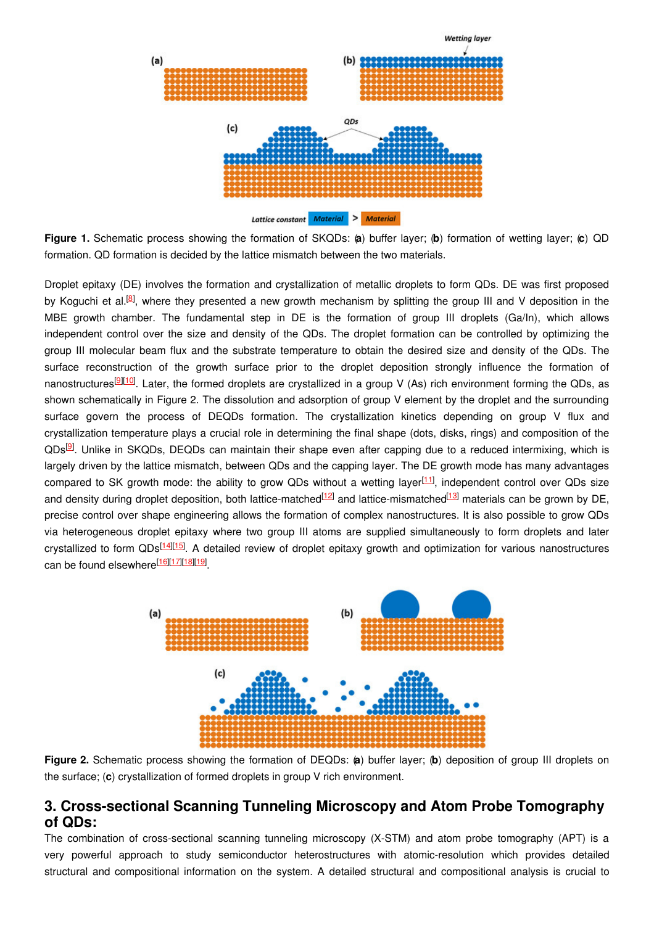

**Figure 1.** Schematic process showing the formation of SKQDs: (**a**) buffer layer; (**b**) formation of wetting layer; (**c**) QD formation. QD formation is decided by the lattice mismatch between the two materials.

Droplet epitaxy (DE) involves the formation and crystallization of metallic droplets to form QDs. DE was first proposed by Koguchi et al.<sup>[\[8](#page-3-7)]</sup>, where they presented a new growth mechanism by splitting the group III and V deposition in the MBE growth chamber. The fundamental step in DE is the formation of group III droplets (Ga/In), which allows independent control over the size and density of the QDs. The droplet formation can be controlled by optimizing the group III molecular beam flux and the substrate temperature to obtain the desired size and density of the QDs. The surface reconstruction of the growth surface prior to the droplet deposition strongly influence the formation of nanostructures<sup>[\[9](#page-3-8)][\[10](#page-3-9)]</sup>. Later, the formed droplets are crystallized in a group V (As) rich environment forming the QDs, as shown schematically in Figure 2. The dissolution and adsorption of group V element by the droplet and the surrounding surface govern the process of DEQDs formation. The crystallization kinetics depending on group V flux and crystallization temperature plays a crucial role in determining the final shape (dots, disks, rings) and composition of the QDs<sup>[[9](#page-3-8)]</sup>. Unlike in SKQDs, DEQDs can maintain their shape even after capping due to a reduced intermixing, which is largely driven by the lattice mismatch, between QDs and the capping layer. The DE growth mode has many advantages compared to SK growth mode: the ability to grow QDs without a wetting layer<sup>[[11](#page-3-10)]</sup>, independent control over QDs size and density during droplet deposition, both lattice-matched<sup>[\[12](#page-3-11)]</sup> and lattice-mismatched<sup>[\[13](#page-3-12)]</sup> materials can be grown by DE, precise control over shape engineering allows the formation of complex nanostructures. It is also possible to grow QDs via heterogeneous droplet epitaxy where two group III atoms are supplied simultaneously to form droplets and later crystallized to form QDs<sup>[\[14](#page-3-13)][\[15](#page-3-14)]</sup>. A detailed review of droplet epitaxy growth and optimization for various nanostructures can be found elsewhere<sup>[\[16](#page-3-15)][\[17](#page-3-16)][\[18](#page-3-17)][\[19](#page-3-18)]</sup>.



**Figure 2.** Schematic process showing the formation of DEQDs: (**a**) buffer layer; (**b**) deposition of group III droplets on the surface; (**c**) crystallization of formed droplets in group V rich environment.

### **3. Cross-sectional Scanning Tunneling Microscopy and Atom Probe Tomography of QDs:**

The combination of cross-sectional scanning tunneling microscopy (X-STM) and atom probe tomography (APT) is a very powerful approach to study semiconductor heterostructures with atomic-resolution which provides detailed structural and compositional information on the system. A detailed structural and compositional analysis is crucial to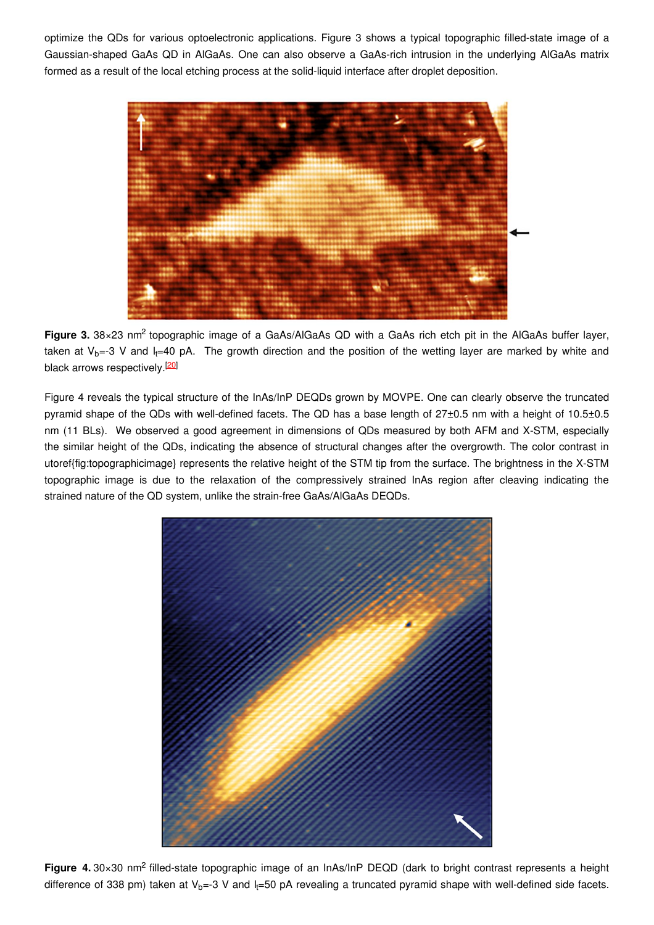optimize the QDs for various optoelectronic applications. Figure 3 shows a typical topographic filled-state image of a Gaussian-shaped GaAs QD in AlGaAs. One can also observe a GaAs-rich intrusion in the underlying AlGaAs matrix formed as a result of the local etching process at the solid-liquid interface after droplet deposition.



Figure 3. 38×23 nm<sup>2</sup> topographic image of a GaAs/AlGaAs QD with a GaAs rich etch pit in the AlGaAs buffer layer, taken at V<sub>b</sub>=-3 V and I<sub>t</sub>=40 pA. The growth direction and the position of the wetting layer are marked by white and black arrows respectively.<sup>[\[20](#page-4-0)]</sup>

Figure 4 reveals the typical structure of the InAs/InP DEQDs grown by MOVPE. One can clearly observe the truncated pyramid shape of the QDs with well-defined facets. The QD has a base length of 27±0.5 nm with a height of 10.5±0.5 nm (11 BLs). We observed a good agreement in dimensions of QDs measured by both AFM and X-STM, especially the similar height of the QDs, indicating the absence of structural changes after the overgrowth. The color contrast in utoref{fig:topographicimage} represents the relative height of the STM tip from the surface. The brightness in the X-STM topographic image is due to the relaxation of the compressively strained InAs region after cleaving indicating the strained nature of the QD system, unlike the strain-free GaAs/AlGaAs DEQDs.



Figure 4. 30×30 nm<sup>2</sup> filled-state topographic image of an InAs/InP DEQD (dark to bright contrast represents a height difference of 338 pm) taken at V<sub>b</sub>=-3 V and I<sub>t</sub>=50 pA revealing a truncated pyramid shape with well-defined side facets.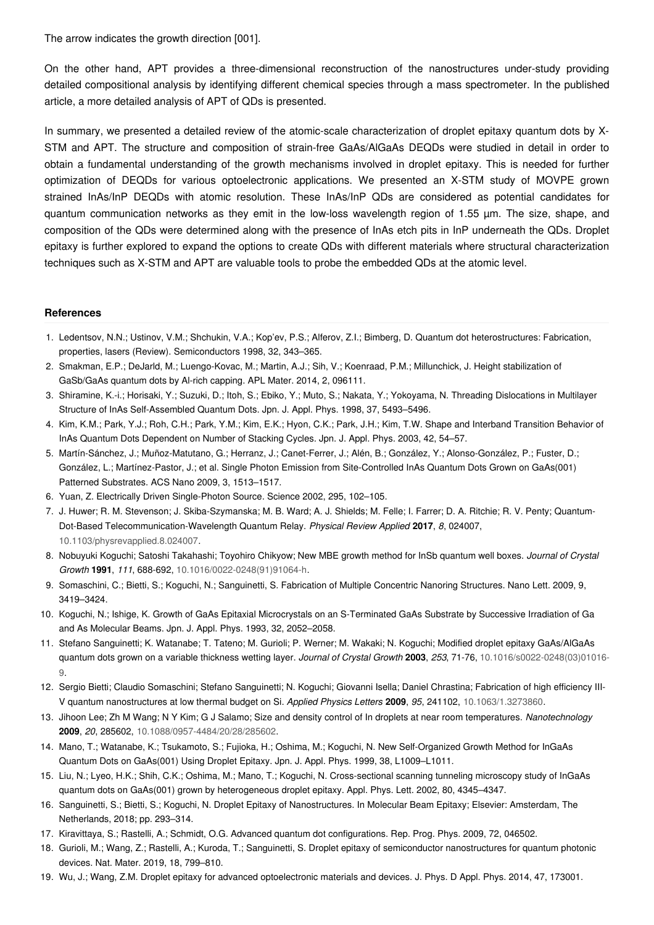The arrow indicates the growth direction [001].

On the other hand, APT provides a three-dimensional reconstruction of the nanostructures under-study providing detailed compositional analysis by identifying different chemical species through a mass spectrometer. In the published article, a more detailed analysis of APT of QDs is presented.

In summary, we presented a detailed review of the atomic-scale characterization of droplet epitaxy quantum dots by X-STM and APT. The structure and composition of strain-free GaAs/AlGaAs DEQDs were studied in detail in order to obtain a fundamental understanding of the growth mechanisms involved in droplet epitaxy. This is needed for further optimization of DEQDs for various optoelectronic applications. We presented an X-STM study of MOVPE grown strained InAs/InP DEQDs with atomic resolution. These InAs/InP QDs are considered as potential candidates for quantum communication networks as they emit in the low-loss wavelength region of 1.55 µm. The size, shape, and composition of the QDs were determined along with the presence of InAs etch pits in InP underneath the QDs. Droplet epitaxy is further explored to expand the options to create QDs with different materials where structural characterization techniques such as X-STM and APT are valuable tools to probe the embedded QDs at the atomic level.

#### **References**

- <span id="page-3-0"></span>1. Ledentsov, N.N.; Ustinov, V.M.; Shchukin, V.A.; Kop'ev, P.S.; Alferov, Z.I.; Bimberg, D. Quantum dot heterostructures: Fabrication, properties, lasers (Review). Semiconductors 1998, 32, 343–365.
- <span id="page-3-1"></span>2. Smakman, E.P.; DeJarld, M.; Luengo-Kovac, M.; Martin, A.J.; Sih, V.; Koenraad, P.M.; Millunchick, J. Height stabilization of GaSb/GaAs quantum dots by Al-rich capping. APL Mater. 2014, 2, 096111.
- <span id="page-3-2"></span>3. Shiramine, K.-i.; Horisaki, Y.; Suzuki, D.; Itoh, S.; Ebiko, Y.; Muto, S.; Nakata, Y.; Yokoyama, N. Threading Dislocations in Multilayer Structure of InAs Self-Assembled Quantum Dots. Jpn. J. Appl. Phys. 1998, 37, 5493–5496.
- <span id="page-3-3"></span>4. Kim, K.M.; Park, Y.J.; Roh, C.H.; Park, Y.M.; Kim, E.K.; Hyon, C.K.; Park, J.H.; Kim, T.W. Shape and Interband Transition Behavior of InAs Quantum Dots Dependent on Number of Stacking Cycles. Jpn. J. Appl. Phys. 2003, 42, 54–57.
- <span id="page-3-4"></span>5. Martín-Sánchez, J.; Muñoz-Matutano, G.; Herranz, J.; Canet-Ferrer, J.; Alén, B.; González, Y.; Alonso-González, P.; Fuster, D.; González, L.; Martínez-Pastor, J.; et al. Single Photon Emission from Site-Controlled InAs Quantum Dots Grown on GaAs(001) Patterned Substrates. ACS Nano 2009, 3, 1513–1517.
- <span id="page-3-5"></span>6. Yuan, Z. Electrically Driven Single-Photon Source. Science 2002, 295, 102–105.
- <span id="page-3-6"></span>7. J. Huwer; R. M. Stevenson; J. Skiba-Szymanska; M. B. Ward; A. J. Shields; M. Felle; I. Farrer; D. A. Ritchie; R. V. Penty; Quantum-Dot-Based Telecommunication-Wavelength Quantum Relay. *Physical Review Applied* **2017**, *8*, 024007, [10.1103/physrevapplied.8.024007](http://doi.org/10.1103/physrevapplied.8.024007).
- <span id="page-3-7"></span>8. Nobuyuki Koguchi; Satoshi Takahashi; Toyohiro Chikyow; New MBE growth method for InSb quantum well boxes. *Journal of Crystal Growth* **1991**, *111*, 688-692, [10.1016/0022-0248\(91\)91064-h](http://doi.org/10.1016/0022-0248(91)91064-h).
- <span id="page-3-8"></span>9. Somaschini, C.; Bietti, S.; Koguchi, N.; Sanguinetti, S. Fabrication of Multiple Concentric Nanoring Structures. Nano Lett. 2009, 9, 3419–3424.
- <span id="page-3-9"></span>10. Koguchi, N.; Ishige, K. Growth of GaAs Epitaxial Microcrystals on an S-Terminated GaAs Substrate by Successive Irradiation of Ga and As Molecular Beams. Jpn. J. Appl. Phys. 1993, 32, 2052–2058.
- <span id="page-3-10"></span>11. Stefano Sanguinetti; K. Watanabe; T. Tateno; M. Gurioli; P. Werner; M. Wakaki; N. Koguchi; Modified droplet epitaxy GaAs/AlGaAs quantum dots grown on a variable thickness wetting layer. *Journal of Crystal Growth* **2003**, *253*, 71-76, [10.1016/s0022-0248\(03\)01016-](http://doi.org/10.1016/s0022-0248(03)01016-9) 9.
- <span id="page-3-11"></span>12. Sergio Bietti; Claudio Somaschini; Stefano Sanguinetti; N. Koguchi; Giovanni Isella; Daniel Chrastina; Fabrication of high efficiency III-V quantum nanostructures at low thermal budget on Si. *Applied Physics Letters* **2009**, *95*, 241102, [10.1063/1.3273860](http://doi.org/10.1063/1.3273860).
- <span id="page-3-12"></span>13. Jihoon Lee; Zh M Wang; N Y Kim; G J Salamo; Size and density control of In droplets at near room temperatures. *Nanotechnology* **2009**, *20*, 285602, [10.1088/0957-4484/20/28/285602](http://doi.org/10.1088/0957-4484/20/28/285602).
- <span id="page-3-13"></span>14. Mano, T.; Watanabe, K.; Tsukamoto, S.; Fujioka, H.; Oshima, M.; Koguchi, N. New Self-Organized Growth Method for InGaAs Quantum Dots on GaAs(001) Using Droplet Epitaxy. Jpn. J. Appl. Phys. 1999, 38, L1009–L1011.
- <span id="page-3-14"></span>15. Liu, N.; Lyeo, H.K.; Shih, C.K.; Oshima, M.; Mano, T.; Koguchi, N. Cross-sectional scanning tunneling microscopy study of InGaAs quantum dots on GaAs(001) grown by heterogeneous droplet epitaxy. Appl. Phys. Lett. 2002, 80, 4345–4347.
- <span id="page-3-15"></span>16. Sanguinetti, S.; Bietti, S.; Koguchi, N. Droplet Epitaxy of Nanostructures. In Molecular Beam Epitaxy; Elsevier: Amsterdam, The Netherlands, 2018; pp. 293–314.
- <span id="page-3-16"></span>17. Kiravittaya, S.; Rastelli, A.; Schmidt, O.G. Advanced quantum dot configurations. Rep. Prog. Phys. 2009, 72, 046502.
- <span id="page-3-17"></span>18. Gurioli, M.; Wang, Z.; Rastelli, A.; Kuroda, T.; Sanguinetti, S. Droplet epitaxy of semiconductor nanostructures for quantum photonic devices. Nat. Mater. 2019, 18, 799–810.
- <span id="page-3-18"></span>19. Wu, J.; Wang, Z.M. Droplet epitaxy for advanced optoelectronic materials and devices. J. Phys. D Appl. Phys. 2014, 47, 173001.